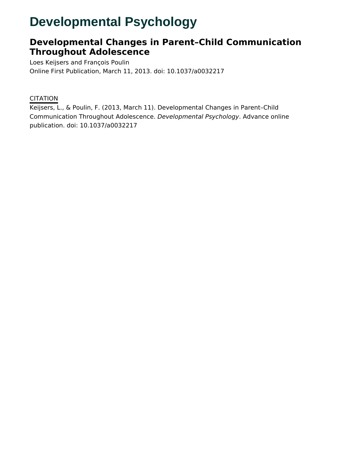# **Developmental Psychology**

# **Developmental Changes in Parent–Child Communication Throughout Adolescence**

Loes Keijsers and François Poulin Online First Publication, March 11, 2013. doi: 10.1037/a0032217

# **CITATION**

Keijsers, L., & Poulin, F. (2013, March 11). Developmental Changes in Parent–Child Communication Throughout Adolescence. Developmental Psychology. Advance online publication. doi: 10.1037/a0032217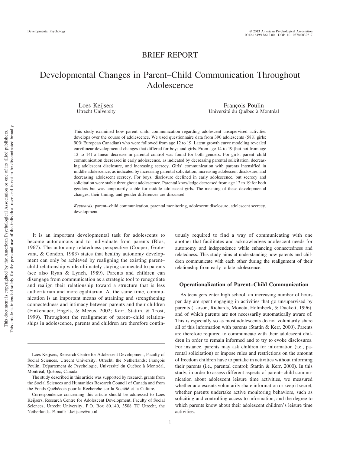# BRIEF REPORT

# Developmental Changes in Parent–Child Communication Throughout Adolescence

Loes Keijsers Utrecht University

François Poulin Université du Québec a` Montréal

This study examined how parent– child communication regarding adolescent unsupervised activities develops over the course of adolescence. We used questionnaire data from 390 adolescents (58% girls; 90% European Canadian) who were followed from age 12 to 19. Latent growth curve modeling revealed curvilinear developmental changes that differed for boys and girls. From age 14 to 19 (but not from age 12 to 14) a linear decrease in parental control was found for both genders. For girls, parent– child communication decreased in early adolescence, as indicated by decreasing parental solicitation, decreasing adolescent disclosure, and increasing secrecy. Girls' communication with parents intensified in middle adolescence, as indicated by increasing parental solicitation, increasing adolescent disclosure, and decreasing adolescent secrecy. For boys, disclosure declined in early adolescence, but secrecy and solicitation were stable throughout adolescence. Parental knowledge decreased from age 12 to 19 for both genders but was temporarily stable for middle adolescent girls. The meaning of these developmental changes, their timing, and gender differences are discussed.

*Keywords:* parent– child communication, parental monitoring, adolescent disclosure, adolescent secrecy, development

It is an important developmental task for adolescents to become autonomous and to individuate from parents (Blos, 1967). The autonomy relatedness perspective (Cooper, Grotevant, & Condon, 1983) states that healthy autonomy development can only be achieved by realigning the existing parent– child relationship while ultimately staying connected to parents (see also Ryan & Lynch, 1989). Parents and children can disengage from communication as a strategic tool to renegotiate and realign their relationship toward a structure that is less authoritarian and more egalitarian. At the same time, communication is an important means of attaining and strengthening connectedness and intimacy between parents and their children (Finkenauer, Engels, & Meeus, 2002; Kerr, Stattin, & Trost, 1999). Throughout the realignment of parent– child relationships in adolescence, parents and children are therefore contin-

This article is intended solely for the personal use of the individual user and is not to be disseminated broadly, This article is intended solely for the personal use of the individual user and is not to be disseminated broadly. This document is copyrighted by the American Psychological Association or one of its allied publishers. This document is copyrighted by the American Psychological Association or one of its allied publishers.

uously required to find a way of communicating with one another that facilitates and acknowledges adolescent needs for autonomy and independence while enhancing connectedness and relatedness. This study aims at understanding how parents and children communicate with each other during the realignment of their relationship from early to late adolescence.

#### **Operationalization of Parent–Child Communication**

As teenagers enter high school, an increasing number of hours per day are spent engaging in activities that go unsupervised by parents (Larson, Richards, Moneta, Holmbeck, & Duckett, 1996), and of which parents are not necessarily automatically aware of. This is especially so as most adolescents do not voluntarily share all of this information with parents (Stattin & Kerr, 2000). Parents are therefore required to communicate with their adolescent children in order to remain informed and to try to evoke disclosures. For instance, parents may ask children for information (i.e., parental solicitation) or impose rules and restrictions on the amount of freedom children have to partake in activities without informing their parents (i.e., parental control; Stattin & Kerr, 2000). In this study, in order to assess different aspects of parent– child communication about adolescent leisure time activities, we measured whether adolescents voluntarily share information or keep it secret, whether parents undertake active monitoring behaviors, such as soliciting and controlling access to information, and the degree to which parents know about their adolescent children's leisure time activities.

Loes Keijsers, Research Centre for Adolescent Development, Faculty of Social Sciences, Utrecht University, Utrecht, the Netherlands; François Poulin, Département de Psychologie, Université du Québec a` Montréal, Montréal, Québec, Canada.

The study described in this article was supported by research grants from the Social Sciences and Humanities Research Council of Canada and from the Fonds Québécois pour la Recherche sur la Société et la Culture.

Correspondence concerning this article should be addressed to Loes Keijsers, Research Centre for Adolescent Development, Faculty of Social Sciences, Utrecht University, P.O. Box 80.140, 3508 TC Utrecht, the Netherlands. E-mail: l.keijsers@uu.nl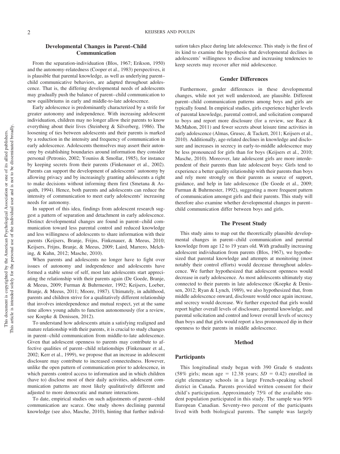# **Developmental Changes in Parent–Child Communication**

From the separation-individuation (Blos, 1967; Erikson, 1950) and the autonomy-relatedness (Cooper et al., 1983) perspectives, it is plausible that parental knowledge, as well as underlying parent– child communicative behaviors, are adapted throughout adolescence. That is, the differing developmental needs of adolescents may gradually push the balance of parent– child communication to new equilibriums in early and middle-to-late adolescence.

Early adolescence is predominantly characterized by a strife for greater autonomy and independence. With increasing adolescent individuation, children may no longer allow their parents to know everything about their lives (Steinberg & Silverberg, 1986). The loosening of ties between adolescents and their parents is marked by a reduction in the intensity and frequency of communication in early adolescence. Adolescents themselves may assert their autonomy by establishing boundaries around information they consider personal (Petronio, 2002; Youniss & Smollar, 1985), for instance by keeping secrets from their parents (Finkenauer et al., 2002). Parents can support the development of adolescents' autonomy by allowing privacy and by increasingly granting adolescents a right to make decisions without informing them first (Smetana & Asquith, 1994). Hence, both parents and adolescents can reduce the intensity of communication to meet early adolescents' increasing needs for autonomy.

In support of this idea, findings from adolescent research suggest a pattern of separation and detachment in early adolescence. Distinct developmental changes are found in parent– child communication toward less parental control and reduced knowledge and less willingness of adolescents to share information with their parents (Keijsers, Branje, Frijns, Finkenauer, & Meeus, 2010; Keijsers, Frijns, Branje, & Meeus, 2009; Laird, Marrero, Melching, & Kuhn, 2012; Masche, 2010).

When parents and adolescents no longer have to fight over issues of autonomy and independence and adolescents have formed a stable sense of self, most late adolescents start appreciating the relationship with their parents again (De Goede, Branje, & Meeus, 2009; Furman & Buhrmester, 1992; Keijsers, Loeber, Branje, & Meeus, 2011; Moore, 1987). Ultimately, in adulthood, parents and children strive for a qualitatively different relationship that involves interdependence and mutual respect, yet at the same time allows young adults to function autonomously (for a review, see Koepke & Denissen, 2012).

To understand how adolescents attain a satisfying realigned and mature relationship with their parents, it is crucial to study changes in parent– child communication from middle-to-late adolescence. Given that adolescent openness to parents may contribute to affective qualities of parent– child relationships (Finkenauer et al., 2002; Kerr et al., 1999), we propose that an increase in adolescent disclosure may contribute to increased connectedness. However, unlike the open pattern of communication prior to adolescence, in which parents control access to information and in which children (have to) disclose most of their daily activities, adolescent communication patterns are most likely qualitatively different and adjusted to more democratic and mature interactions.

To date, empirical studies on such adjustments of parent– child communication are scarce. One study shows declining parental knowledge (see also, Masche, 2010), hinting that further individuation takes place during late adolescence. This study is the first of its kind to examine the hypothesis that developmental declines in adolescents' willingness to disclose and increasing tendencies to keep secrets may recover after mid adolescence.

### **Gender Differences**

Furthermore, gender differences in these developmental changes, while not yet well understood, are plausible. Different parent– child communication patterns among boys and girls are typically found. In empirical studies, girls experience higher levels of parental knowledge, parental control, and solicitation compared to boys and report more disclosure (for a review, see Racz & McMahon, 2011) and fewer secrets about leisure time activities in early adolescence (Almas, Grusec, & Tackett, 2011; Keijsers et al., 2010). Additionally, age-related declines in knowledge and disclosure and increases in secrecy in early-to-middle adolescence may be less pronounced for girls than for boys (Keijsers et al., 2010; Masche, 2010). Moreover, late adolescent girls are more interdependent of their parents than late adolescent boys: Girls tend to experience a better quality relationship with their parents than boys and rely more strongly on their parents as source of support, guidance, and help in late adolescence (De Goede et al., 2009; Furman & Buhrmester, 1992), suggesting a more frequent pattern of communication amongst girls and their parents. This study will therefore also examine whether developmental changes in parent– child communication differ between boys and girls.

#### **The Present Study**

This study aims to map out the theoretically plausible developmental changes in parent– child communication and parental knowledge from age 12 to 19 years old. With gradually increasing adolescent individuation from parents (Blos, 1967), we hypothesized that parental knowledge and attempts at monitoring (most notably their control efforts) would decrease throughout adolescence. We further hypothesized that adolescent openness would decrease in early adolescence. As most adolescents ultimately stay connected to their parents in late adolescence (Koepke & Denissen, 2012; Ryan & Lynch, 1989), we also hypothesized that, from middle adolescence onward, disclosure would once again increase, and secrecy would decrease. We further expected that girls would report higher overall levels of disclosure, parental knowledge, and parental solicitation and control and lower overall levels of secrecy than boys and that girls would report a less pronounced dip in their openness to their parents in middle adolescence.

#### **Method**

#### **Participants**

This longitudinal study began with 390 Grade 6 students (58% girls; mean age  $= 12.38$  years;  $SD = 0.42$ ) enrolled in eight elementary schools in a large French-speaking school district in Canada. Parents provided written consent for their child's participation. Approximately 75% of the available student population participated in this study. The sample was 90% European Canadian. Seventy-two percent of the participants lived with both biological parents. The sample was largely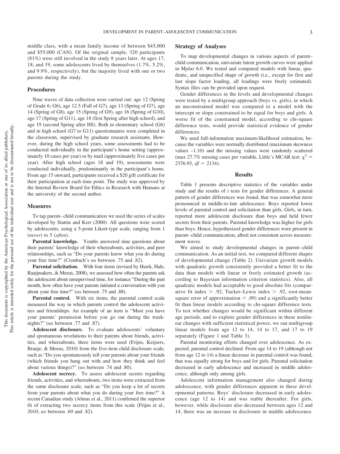middle class, with a mean family income of between \$45,000 and \$55,000 (CAN). Of the original sample, 320 participants (81%) were still involved in the study 8 years later. At ages 17, 18, and 19, some adolescents lived by themselves (1.7%, 5.2%, and 9.9%, respectively), but the majority lived with one or two parents during the study.

#### **Procedures**

Nine waves of data collection were carried out: age 12 (Spring of Grade 6; G6), age 12.5 (Fall of G7), age 13 (Spring of G7), age 14 (Spring of G8), age 15 (Spring of G9), age 16 (Spring of G10), age 17 (Spring of G11), age 18 (first Spring after high school), and age 19 (second Spring after HS). Both in elementary school (G6) and in high school (G7 to G11) questionnaires were completed in the classroom, supervised by graduate research assistants. However, during the high school years, some assessments had to be conducted individually in the participant's home setting (approximately 10 cases per year) or by mail (approximately five cases per year). After high school (ages 18 and 19), assessments were conducted individually, predominantly in the participant's home. From age 15 onward, participants received a \$20 gift certificate for their participation at each time point. The study was approved by the Internal Review Board for Ethics in Research with Humans at the university of the second author.

#### **Measures**

To tap parent– child communication we used the series of scales developed by Stattin and Kerr (2000). All questions were scored by adolescents, using a 5-point Likert-type scale, ranging from 1 (*never*) to 5 (*often*).

**Parental knowledge.** Youths answered nine questions about their parents' knowledge of their whereabouts, activities, and peer relationships, such as "Do your parents know what you do during your free time?" (Cronbach's  $\alpha$ s between .75 and .82).

**Parental solicitation.** With four items (revised by Hawk, Hale, Raaijmakers, & Meeus, 2008), we assessed how often the parents ask the adolescent about unsupervised time, for instance "During the past month, how often have your parents initiated a conversation with you about your free time?" ( $\alpha s$  between .75 and .88).

Parental control. With six items, the parental control scale measured the way in which parents control the adolescent activities and friendships. An example of an item is "Must you have your parents' permission before you go out during the weekmights?" ( $\alpha s$  between .77 and .87).

**Adolescent disclosure.** To evaluate adolescents' voluntary and spontaneous revelations to their parents about friends, activities, and whereabouts, three items were used (Frijns, Keijsers, Branje, & Meeus, 2010) from the five-item child disclosure scale, such as "Do you spontaneously tell your parents about your friends (which friends you hang out with and how they think and feel about various things)?" ( $\alpha$ s between .74 and .80).

**Adolescent secrecy.** To assess adolescent secrets regarding friends, activities, and whereabouts, two items were extracted from the same disclosure scale, such as "Do you keep a lot of secrets from your parents about what you do during your free time?" A recent Canadian study (Almas et al., 2011) confirmed the superior fit of extracting two secrecy items from this scale (Frijns et al., 2010;  $\alpha s$  between .69 and .82).

#### **Strategy of Analyses**

To map developmental changes in various aspects of parent– child communication, univariate latent growth curves were applied in M*plus* 6.0. We tested and compared models with linear, quadratic, and unspecified shape of growth (i.e., except for first and last slope factor loading, all loadings were freely estimated). Syntax files can be provided upon request.

Gender differences in the levels and developmental changes were tested by a multigroup approach (boys vs. girls), in which an unconstrained model was compared to a model with the intercept or slope constrained to be equal for boys and girls. A worse fit of the constrained model, according to chi-square difference tests, would provide statistical evidence of gender differences.

We used full-information maximum-likelihood estimation, because the variables were normally distributed (maximum skewness values –1.10) and the missing values were randomly scattered (max 27.7% missing cases per variable, Little's MCAR test:  $\chi^2$  =  $2376.93, df = 2134.$ 

#### **Results**

Table 1 presents descriptive statistics of the variables under study and the results of *t* tests for gender differences. A general pattern of gender differences was found, that was somewhat more pronounced in middle-to-late adolescence. Boys reported lower levels of parental control and solicitation than girls. Girls, in turn, reported more adolescent disclosure than boys and held fewer secrets from their parents. Parental knowledge was higher for girls than boys. Hence, hypothesized gender differences were present in parent– child communication, albeit not consistent across measurement waves.

We aimed to study developmental changes in parent–child communication. As an initial test, we compared different shapes of developmental change (Table 2). Univariate growth models with quadratic growth consistently provided a better fit to the data than models with linear or freely estimated growth (according to Bayesian information criterion statistics). Also, all quadratic models had acceptable to good absolute fits (comparative fit index  $> .92$ , Tucker–Lewis index  $> .92$ , root-meansquare error of approximation  $\lt$  .09) and a significantly better fit than linear models according to chi-square difference tests. To test whether changes would be significant within different age periods, and to explore gender differences in these nonlinear changes with sufficient statistical power, we ran multigroup linear models from age 12 to 14, 14 to 17, and 17 to 19 separately (Figure 1 and Table 3).

Parental monitoring efforts changed over adolescence. As expected, parental control declined. From age 14 to 19 (although not from age 12 to 14) a linear decrease in parental control was found, that was equally strong for boys and for girls. Parental solicitation decreased in early adolescence and increased in middle adolescence, although only among girls.

Adolescent information management also changed during adolescence, with gender differences apparent in these developmental patterns. Boys' disclosure decreased in early adolescence (age 12 to 14) and was stable thereafter. For girls, however, while disclosure also decreased between ages 12 and 14, there was an increase in disclosure in middle adolescence.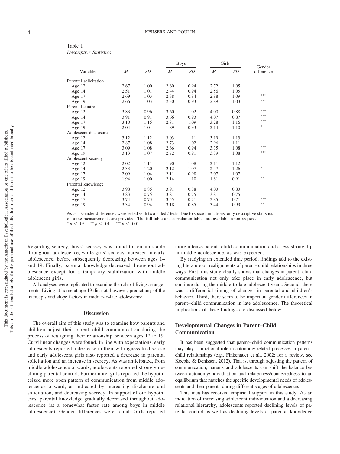| Table 1                       |  |
|-------------------------------|--|
| <b>Descriptive Statistics</b> |  |

|                       |      |      |                  | <b>Boys</b> |                  | Girls     |                      |
|-----------------------|------|------|------------------|-------------|------------------|-----------|----------------------|
| Variable              | M    | SD   | $\boldsymbol{M}$ | <b>SD</b>   | $\boldsymbol{M}$ | <b>SD</b> | Gender<br>difference |
| Parental solicitation |      |      |                  |             |                  |           |                      |
| Age 12                | 2.67 | 1.00 | 2.60             | 0.94        | 2.72             | 1.05      |                      |
| Age 14                | 2.51 | 1.01 | 2.44             | 0.94        | 2.56             | 1.05      |                      |
| Age 17                | 2.69 | 1.03 | 2.38             | 0.84        | 2.88             | 1.09      | ***                  |
| Age 19                | 2.66 | 1.03 | 2.30             | 0.93        | 2.89             | 1.03      | ***                  |
| Parental control      |      |      |                  |             |                  |           |                      |
| Age 12                | 3.83 | 0.96 | 3.60             | 1.02        | 4.00             | 0.88      | ***                  |
| Age 14                | 3.91 | 0.91 | 3.66             | 0.93        | 4.07             | 0.87      | ***                  |
| Age 17                | 3.10 | 1.15 | 2.81             | 1.09        | 3.28             | 1.16      | ***                  |
| Age 19                | 2.04 | 1.04 | 1.89             | 0.93        | 2.14             | 1.10      | 宋                    |
| Adolescent disclosure |      |      |                  |             |                  |           |                      |
| Age 12                | 3.12 | 1.12 | 3.03             | 1.11        | 3.19             | 1.13      |                      |
| Age 14                | 2.87 | 1.08 | 2.73             | 1.02        | 2.96             | 1.11      |                      |
| Age 17                | 3.09 | 1.08 | 2.66             | 0.94        | 3.35             | 1.08      | ***                  |
| Age 19                | 3.13 | 1.07 | 2.72             | 0.91        | 3.39             | 1.08      | ***                  |
| Adolescent secrecy    |      |      |                  |             |                  |           |                      |
| Age 12                | 2.02 | 1.11 | 1.90             | 1.08        | 2.11             | 1.12      |                      |
| Age 14                | 2.33 | 1.20 | 2.12             | 1.07        | 2.47             | 1.26      | 宋                    |
| Age 17                | 2.09 | 1.04 | 2.11             | 0.98        | 2.07             | 1.07      |                      |
| Age $19$              | 1.94 | 1.00 | 2.14             | 1.10        | 1.81             | 0.91      | 宗宗                   |
| Parental knowledge    |      |      |                  |             |                  |           |                      |
| Age 12                | 3.98 | 0.85 | 3.91             | 0.88        | 4.03             | 0.83      |                      |
| Age 14                | 3.83 | 0.75 | 3.84             | 0.75        | 3.81             | 0.75      |                      |
| Age 17                | 3.74 | 0.73 | 3.55             | 0.71        | 3.85             | 0.71      | ***                  |
| Age 19                | 3.34 | 0.94 | 3.18             | 0.85        | 3.44             | 0.99      | **                   |

*Note.* Gender differences were tested with two-sided *t*-tests. Due to space limitations, only descriptive statistics of some measurements are provided. The full table and correlation tables are available upon request.  $p < .05.$  *p*  $p < .01.$  *p*  $p < .001.$ 

Regarding secrecy, boys' secrecy was found to remain stable throughout adolescence, while girls' secrecy increased in early adolescence, before subsequently decreasing between ages 14 and 19. Finally, parental knowledge decreased throughout adolescence except for a temporary stabilization with middle adolescent girls.

All analyses were replicated to examine the role of living arrangements. Living at home at age 19 did not, however, predict any of the intercepts and slope factors in middle-to-late adolescence.

#### **Discussion**

The overall aim of this study was to examine how parents and children adjust their parent– child communication during the process of realigning their relationship between ages 12 to 19. Curvilinear changes were found. In line with expectations, early adolescents reported a decrease in their willingness to disclose and early adolescent girls also reported a decrease in parental solicitation and an increase in secrecy. As was anticipated, from middle adolescence onwards, adolescents reported strongly declining parental control. Furthermore, girls reported the hypothesized more open pattern of communication from middle adolescence onward, as indicated by increasing disclosure and solicitation, and decreasing secrecy. In support of our hypotheses, parental knowledge gradually decreased throughout adolescence (at a somewhat faster rate among boys in middle adolescence). Gender differences were found: Girls reported

more intense parent– child communication and a less strong dip in middle adolescence, as was expected.

By studying an extended time period, findings add to the existing literature on realignments of parent– child relationships in three ways. First, this study clearly shows that changes in parent– child communication not only take place in early adolescence, but continue during the middle-to-late adolescent years. Second, there was a differential timing of changes in parental and children's behavior. Third, there seem to be important gender differences in parent– child communication in late adolescence. The theoretical implications of these findings are discussed below.

# **Developmental Changes in Parent–Child Communication**

It has been suggested that parent–child communication patterns may play a functional role in autonomy-related processes in parent– child relationships (e.g., Finkenauer et al., 2002; for a review, see Koepke & Denissen, 2012). That is, through adjusting the pattern of communication, parents and adolescents can shift the balance between autonomy/individuation and relatedness/connectedness to an equilibrium that matches the specific developmental needs of adolescents and their parents during different stages of adolescence.

This idea has received empirical support in this study. As an indication of increasing adolescent individuation and a decreasing relational hierarchy, adolescents reported declining levels of parental control as well as declining levels of parental knowledge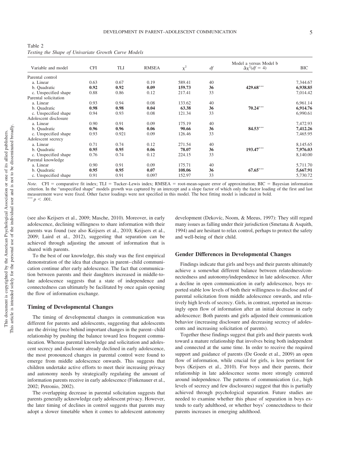Table 2 *Testing the Shape of Univariate Growth Curve Models*

| Variable and model    | <b>CFI</b> | TLI   | <b>RMSEA</b> | $\chi^2$ | df | Model a versus Model b<br>$\Delta \chi^2(df = 4)$ | BIC      |
|-----------------------|------------|-------|--------------|----------|----|---------------------------------------------------|----------|
| Parental control      |            |       |              |          |    |                                                   |          |
| a. Linear             | 0.63       | 0.67  | 0.19         | 589.41   | 40 |                                                   | 7,344.67 |
| b. Quadratic          | 0.92       | 0.92  | 0.09         | 159.73   | 36 | 429.68***                                         | 6,938.85 |
| c. Unspecified shape  | 0.88       | 0.86  | 0.12         | 217.41   | 33 |                                                   | 7,014.42 |
| Parental solicitation |            |       |              |          |    |                                                   |          |
| a. Linear             | 0.93       | 0.94  | 0.08         | 133.62   | 40 |                                                   | 6,961.14 |
| b. Quadratic          | 0.98       | 0.98  | 0.04         | 63.38    | 36 | $70.24***$                                        | 6,914.76 |
| c. Unspecified shape  | 0.94       | 0.93  | 0.08         | 121.34   | 33 |                                                   | 6,990.61 |
| Adolescent disclosure |            |       |              |          |    |                                                   |          |
| a. Linear             | 0.90       | 0.91  | 0.09         | 175.19   | 40 |                                                   | 7,472.93 |
| b. Quadratic          | 0.96       | 0.96  | 0.06         | 90.66    | 36 | 84.53***                                          | 7,412.26 |
| c. Unspecified shape  | 0.93       | 0.921 | 0.09         | 126.46   | 33 |                                                   | 7,465.95 |
| Adolescent secrecy    |            |       |              |          |    |                                                   |          |
| a. Linear             | 0.71       | 0.74  | 0.12         | 271.54   | 40 |                                                   | 8,145.65 |
| b. Quadratic          | 0.95       | 0.95  | 0.06         | 78.07    | 36 | 193.47***                                         | 7,976.03 |
| c. Unspecified shape  | 0.76       | 0.74  | 0.12         | 224.15   | 33 |                                                   | 8,140.00 |
| Parental knowledge    |            |       |              |          |    |                                                   |          |
| a. Linear             | 0.90       | 0.91  | 0.09         | 175.71   | 40 |                                                   | 5,711.70 |
| b. Quadratic          | 0.95       | 0.95  | 0.07         | 108.06   | 36 | $67.65***$                                        | 5,667.91 |
| c. Unspecified shape  | 0.91       | 0.91  | 0.097        | 152.97   | 33 |                                                   | 5,730.72 |

*Note.* CFI = comparative fit index; TLI = Tucker–Lewis index; RMSEA = root-mean-square error of approximation; BIC = Bayesian information criterion. In the "unspecified shape" models growth was captured by an intercept and a slope factor of which only the factor loading of the first and last measurement wave were fixed. Other factor loadings were not specified in this model. The best fitting model is indicated in bold.  $p^*$  *p* < .001.

(see also Keijsers et al., 2009; Masche, 2010). Moreover, in early adolescence, declining willingness to share information with their parents was found (see also Keijsers et al., 2010; Keijsers et al., 2009; Laird et al., 2012), suggesting that separation can be achieved through adjusting the amount of information that is shared with parents.

To the best of our knowledge, this study was the first empirical demonstration of the idea that changes in parent– child communication continue after early adolescence. The fact that communication between parents and their daughters increased in middle-tolate adolescence suggests that a state of independence and connectedness can ultimately be facilitated by once again opening the flow of information exchange.

### **Timing of Developmental Changes**

The timing of developmental changes in communication was different for parents and adolescents, suggesting that adolescents are the driving force behind important changes in the parent– child relationship by pushing the balance toward less frequent communication. Whereas parental knowledge and solicitation and adolescent secrecy and disclosure already declined in early adolescence, the most pronounced changes in parental control were found to emerge from middle adolescence onwards. This suggests that children undertake active efforts to meet their increasing privacy and autonomy needs by strategically regulating the amount of information parents receive in early adolescence (Finkenauer et al., 2002; Petronio, 2002).

The overlapping decrease in parental solicitation suggests that parents generally acknowledge early adolescent privacy. However, the later timing of declines in control suggests that parents may adopt a slower timetable when it comes to adolescent autonomy

development (Dekovíc, Noom, & Meeus, 1997): They still regard many issues as falling under their jurisdiction (Smetana & Asquith, 1994) and are hesitant to relax control, perhaps to protect the safety and well-being of their child.

#### **Gender Differences in Developmental Changes**

Findings indicate that girls and boys and their parents ultimately achieve a somewhat different balance between relatedness/connectedness and autonomy/independence in late adolescence. After a decline in open communication in early adolescence, boys reported stable low levels of both their willingness to disclose and of parental solicitation from middle adolescence onwards, and relatively high levels of secrecy. Girls, in contrast, reported an increasingly open flow of information after an initial decrease in early adolescence: Both parents and girls adjusted their communication behavior (increasing disclosure and decreasing secrecy of adolescents and increasing solicitation of parents).

Together these findings suggest that girls and their parents work toward a mature relationship that involves being both independent and connected at the same time. In order to receive the required support and guidance of parents (De Goede et al., 2009) an open flow of information, while crucial for girls, is less pertinent for boys (Keijsers et al., 2010). For boys and their parents, their relationship in late adolescence seems more strongly centered around independence. The patterns of communication (i.e., high levels of secrecy and few disclosures) suggest that this is partially achieved through psychological separation. Future studies are needed to examine whether this phase of separation in boys extends to early adulthood, or whether boys' connectedness to their parents increases in emerging adulthood.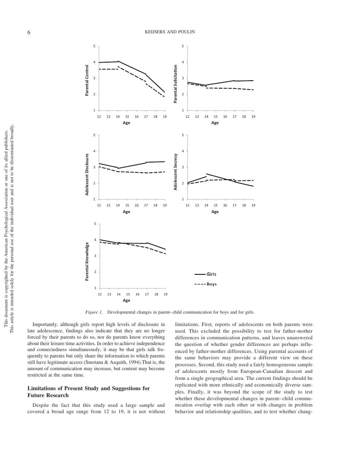This document is copyrighted by the American Psychological Association or one of its allied publishers. This article is intended solely for the personal use of the individual user and is not to be disseminated broadly.

This article is intended solely for the personal use of the individual user and is not to be disseminated broadly, This document is copyrighted by the American Psychological Association or one of its allied publishers.



*Figure 1.* Developmental changes in parent–child communication for boys and for girls.

Importantly, although girls report high levels of disclosure in late adolescence, findings also indicate that they are no longer forced by their parents to do so, nor do parents know everything about their leisure time activities. In order to achieve independence and connectedness simultaneously, it may be that girls talk frequently to parents but only share the information to which parents still have legitimate access (Smetana & Asquith, 1994).That is, the amount of communication may increase, but content may become restricted at the same time.

### **Limitations of Present Study and Suggestions for Future Research**

Despite the fact that this study used a large sample and covered a broad age range from 12 to 19, it is not without limitations. First, reports of adolescents on both parents were used. This excluded the possibility to test for father-mother differences in communication patterns, and leaves unanswered the question of whether gender differences are perhaps influenced by father-mother differences. Using parental accounts of the same behaviors may provide a different view on these processes. Second, this study used a fairly homogeneous sample of adolescents mostly from European-Canadian descent and from a single geographical area. The current findings should be replicated with more ethnically and economically diverse samples. Finally, it was beyond the scope of the study to test whether these developmental changes in parent–child communication overlap with each other or with changes in problem behavior and relationship qualities, and to test whether chang-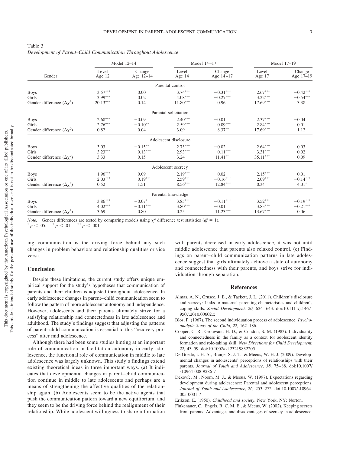|                                     | Model 12-14 |             |                       | Model 14-17 | Model 17-19 |            |
|-------------------------------------|-------------|-------------|-----------------------|-------------|-------------|------------|
| Gender                              | Level       | Change      | Level                 | Change      | Level       | Change     |
|                                     | Age $12$    | Age $12-14$ | Age $14$              | Age $14-17$ | Age 17      | Age 17-19  |
|                                     |             |             | Parental control      |             |             |            |
| <b>Boys</b>                         | $3.57***$   | 0.00        | $3.74***$             | $-0.31***$  | $2.67***$   | $-0.42***$ |
| Girls                               | $3.99***$   | 0.02        | $4.08***$             | $-0.27***$  | $3.22***$   | $-0.54***$ |
| Gender difference $(\Delta \chi^2)$ | $20.13***$  | 0.14        | $11.80***$            | 0.96        | $17.69***$  | 3.38       |
|                                     |             |             | Parental solicitation |             |             |            |
| <b>Boys</b>                         | $2.68***$   | $-0.09$     | $2.40***$             | $-0.01$     | $2.37***$   | $-0.04$    |
| Girls                               | $2.76***$   | $-0.10**$   | $2.59***$             | $0.09***$   | $2.84***$   | 0.01       |
| Gender difference $(\Delta \chi^2)$ | 0.82        | 0.04        | 3.09                  | $8.37***$   | $17.69***$  | 1.12       |
|                                     |             |             | Adolescent disclosure |             |             |            |
| <b>Boys</b>                         | 3.03        | $-0.15***$  | $2.73***$             | $-0.02$     | $2.64***$   | 0.03       |
| Girls                               | $3.23***$   | $-0.13***$  | $2.93***$             | $0.11***$   | $3.31***$   | 0.02       |
| Gender difference $(\Delta \chi^2)$ | 3.33        | 0.15        | 3.24                  | $11.41***$  | $35.11***$  | 0.09       |
|                                     |             |             | Adolescent secrecy    |             |             |            |
| <b>Boys</b>                         | $1.96***$   | 0.09        | $2.19***$             | 0.02        | $2.15***$   | 0.01       |
| Girls                               | $2.03***$   | $0.19***$   | $2.59***$             | $-0.16***$  | $2.09***$   | $-0.14***$ |
| Gender difference $(\Delta \chi^2)$ | 0.52        | 1.51        | $8.56***$             | $12.84***$  | 0.34        | $4.01*$    |
|                                     |             |             | Parental knowledge    |             |             |            |
| Boys                                | $3.86***$   | $-0.07*$    | $3.85***$             | $-0.11***$  | $3.52***$   | $-0.19***$ |
| Girls                               | $4.02***$   | $-0.11***$  | $3.80***$             | $-0.01$     | $3.83***$   | $-0.21***$ |
| Gender difference $(\Delta \chi^2)$ | 3.69        | 0.80        | 0.25                  | $11.23***$  | $13.67***$  | 0.06       |

*Development of Parent–Child Communication Throughout Adolescence*

*Note.* Gender differences are tested by comparing models using  $\chi^2$  difference test statistics (*df* = 1). *p* < .05. *\*\* p* < .01. *\*\*\* p* < .001.

ing communication is the driving force behind any such changes in problem behaviors and relationship qualities or vice versa.

#### **Conclusion**

Table 3

Despite these limitations, the current study offers unique empirical support for the study's hypotheses that communication of parents and their children is adjusted throughout adolescence. In early adolescence changes in parent– child communication seem to follow the pattern of more adolescent autonomy and independence. However, adolescents and their parents ultimately strive for a satisfying relationship and connectedness in late adolescence and adulthood. The study's findings suggest that adjusting the patterns of parent– child communication is essential to this "recovery process" after mid adolescence.

Although there had been some studies hinting at an important role of communication in facilitation autonomy in early adolescence, the functional role of communication in middle to late adolescence was largely unknown. This study's findings extend existing theoretical ideas in three important ways. (a) It indicates that developmental changes in parent– child communication continue in middle to late adolescents and perhaps are a means of strengthening the affective qualities of the relationship again. (b) Adolescents seem to be the active agents that push the communication pattern toward a new equilibrium, and they seem to be the driving force behind the realignment of their relationship: While adolescent willingness to share information

with parents decreased in early adolescence, it was not until middle adolescence that parents also relaxed control. (c) Findings on parent– child communication patterns in late adolescence suggest that girls ultimately achieve a state of autonomy and connectedness with their parents, and boys strive for individuation through separation.

#### **References**

- Almas, A. N., Grusec, J. E., & Tackett, J. L. (2011). Children's disclosure and secrecy: Links to maternal parenting characteristics and children's coping skills. *Social Development, 20,* 624 – 643. doi:10.1111/j.1467- 9507.2010.00602.x
- Blos, P. (1967). The second individuation process of adolescence. *Psychoanalytic Study of the Child, 22,* 162–186.
- Cooper, C. R., Grotevant, H. D., & Condon, S. M. (1983). Individuality and connectedness in the family as a context for adolescent identity formation and role-taking skill. *New Directions for Child Development, 22,* 43–59. doi:10.1002/cd.23219832205
- De Goede, I. H. A., Branje, S. J. T., & Meeus, W. H. J. (2009). Developmental changes in adolescents' perceptions of relationships with their parents. *Journal of Youth and Adolescence, 38,* 75– 88. doi:10.1007/ s10964-008-9286-7
- Dekovíc, M., Noom, M. J., & Meeus, W. (1997). Expectations regarding development during adolescence: Parental and adolescent perceptions. *Journal of Youth and Adolescence, 26,* 253–272. doi:10.1007/s10964- 005-0001-7

Erikson, E. (1950). *Childhood and society*. New York, NY: Norton.

Finkenauer, C., Engels, R. C. M. E., & Meeus, W. (2002). Keeping secrets from parents: Advantages and disadvantages of secrecy in adolescence.